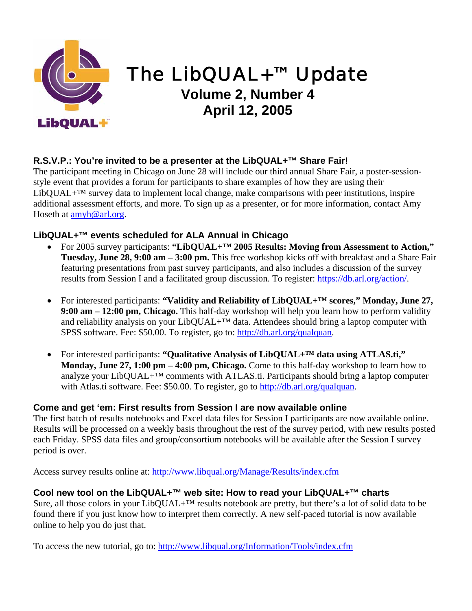

# The LibQUAL+™ Update

# **Volume 2, Number 4 April 12, 2005**

## **R.S.V.P.: You're invited to be a presenter at the LibQUAL+™ Share Fair!**

The participant meeting in Chicago on June 28 will include our third annual Share Fair, a poster-sessionstyle event that provides a forum for participants to share examples of how they are using their  $LibQUAL+<sup>TM</sup>$  survey data to implement local change, make comparisons with peer institutions, inspire additional assessment efforts, and more. To sign up as a presenter, or for more information, contact Amy Hoseth at [amyh@arl.org](mailto:amyh@arl.org).

### **LibQUAL+™ events scheduled for ALA Annual in Chicago**

- For 2005 survey participants: "LibQUAL+<sup>TM</sup> 2005 Results: Moving from Assessment to Action," **Tuesday, June 28, 9:00 am – 3:00 pm.** This free workshop kicks off with breakfast and a Share Fair featuring presentations from past survey participants, and also includes a discussion of the survey results from Session I and a facilitated group discussion. To register: [https://db.arl.org/action/.](https://db.arl.org/action/)
- For interested participants: **"Validity and Reliability of LibQUAL+™ scores," Monday, June 27, 9:00 am – 12:00 pm, Chicago.** This half-day workshop will help you learn how to perform validity and reliability analysis on your LibQUAL+ $TM$  data. Attendees should bring a laptop computer with SPSS software. Fee: \$50.00. To register, go to: <http://db.arl.org/qualquan>.
- For interested participants: "Qualitative Analysis of LibQUAL+<sup>TM</sup> data using ATLAS.ti," **Monday, June 27, 1:00 pm – 4:00 pm, Chicago.** Come to this half-day workshop to learn how to analyze your LibQUAL+ $^{TM}$  comments with ATLAS.ti. Participants should bring a laptop computer with Atlas.ti software. Fee: \$50.00. To register, go to [http://db.arl.org/qualquan.](http://db.arl.org/qualquan)

### **Come and get 'em: First results from Session I are now available online**

The first batch of results notebooks and Excel data files for Session I participants are now available online. Results will be processed on a weekly basis throughout the rest of the survey period, with new results posted each Friday. SPSS data files and group/consortium notebooks will be available after the Session I survey period is over.

Access survey results online at: [http://www.libqual.org/Manage/Results/index.cfm](http://old.libqual.org/Manage/Results/index.cfm)

### **Cool new tool on the LibQUAL+™ web site: How to read your LibQUAL+™ charts**

Sure, all those colors in your LibQUAL+™ results notebook are pretty, but there's a lot of solid data to be found there if you just know how to interpret them correctly. A new self-paced tutorial is now available online to help you do just that.

To access the new tutorial, go to: [http://www.libqual.org/Information/Tools/index.cfm](http://old.libqual.org/Information/Tools/index.cfm)